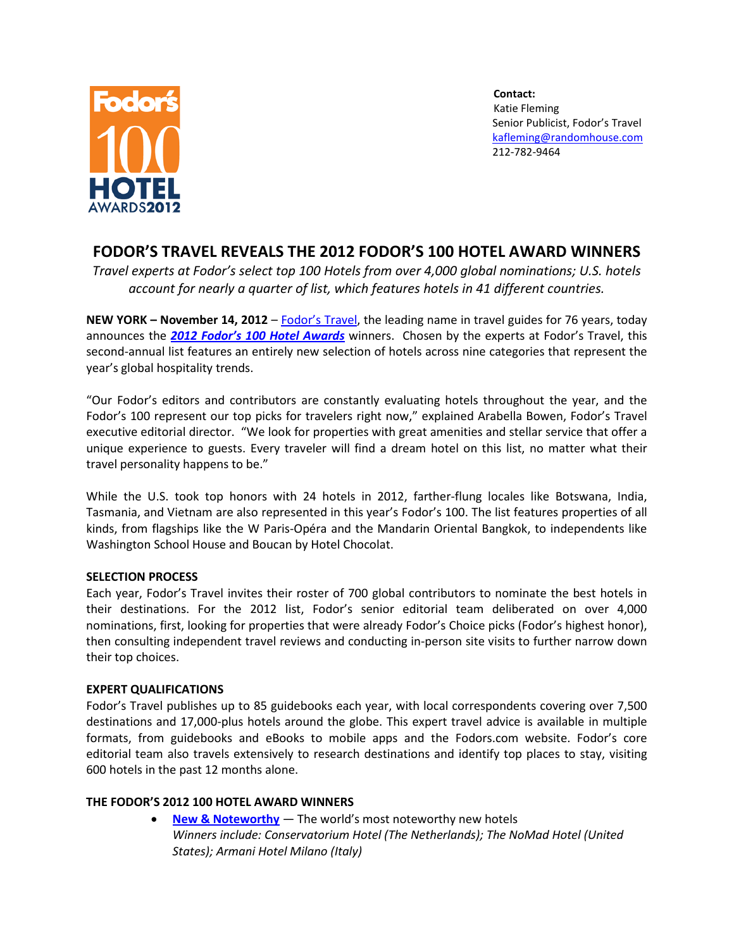

**Contact:** Katie Fleming Senior Publicist, Fodor's Travel [kafleming@randomhouse.com](mailto:kafleming@randomhouse.com) 212-782-9464

# **FODOR'S TRAVEL REVEALS THE 2012 FODOR'S 100 HOTEL AWARD WINNERS**

*Travel experts at Fodor's select top 100 Hotels from over 4,000 global nominations; U.S. hotels account for nearly a quarter of list, which features hotels in 41 different countries.* 

**NEW YORK – November 14, 2012** – [Fodor's](http://www.fodors.com/) Travel, the leading name in travel guides for 76 years, today announces the *2012 [Fodor's 100 Hotel Awards](http://www.fodors.com/hotel-awards/2012)* winners. Chosen by the experts at Fodor's Travel, this second-annual list features an entirely new selection of hotels across nine categories that represent the year's global hospitality trends.

"Our Fodor's editors and contributors are constantly evaluating hotels throughout the year, and the Fodor's 100 represent our top picks for travelers right now," explained Arabella Bowen, Fodor's Travel executive editorial director. "We look for properties with great amenities and stellar service that offer a unique experience to guests. Every traveler will find a dream hotel on this list, no matter what their travel personality happens to be."

While the U.S. took top honors with 24 hotels in 2012, farther-flung locales like Botswana, India, Tasmania, and Vietnam are also represented in this year's Fodor's 100. The list features properties of all kinds, from flagships like the W Paris-Opéra and the Mandarin Oriental Bangkok, to independents like Washington School House and Boucan by Hotel Chocolat.

### **SELECTION PROCESS**

Each year, Fodor's Travel invites their roster of 700 global contributors to nominate the best hotels in their destinations. For the 2012 list, Fodor's senior editorial team deliberated on over 4,000 nominations, first, looking for properties that were already Fodor's Choice picks (Fodor's highest honor), then consulting independent travel reviews and conducting in-person site visits to further narrow down their top choices.

### **EXPERT QUALIFICATIONS**

Fodor's Travel publishes up to 85 guidebooks each year, with local correspondents covering over 7,500 destinations and 17,000-plus hotels around the globe. This expert travel advice is available in multiple formats, from guidebooks and eBooks to mobile apps and the Fodors.com website. Fodor's core editorial team also travels extensively to research destinations and identify top places to stay, visiting 600 hotels in the past 12 months alone.

# **THE FODOR'S 2012 100 HOTEL AWARD WINNERS**

• **[New & Noteworthy](http://www.fodors.com/hotel-awards/2012/new-noteworthy)** — The world's most noteworthy new hotels *Winners include: Conservatorium Hotel (The Netherlands); The NoMad Hotel (United States); Armani Hotel Milano (Italy)*